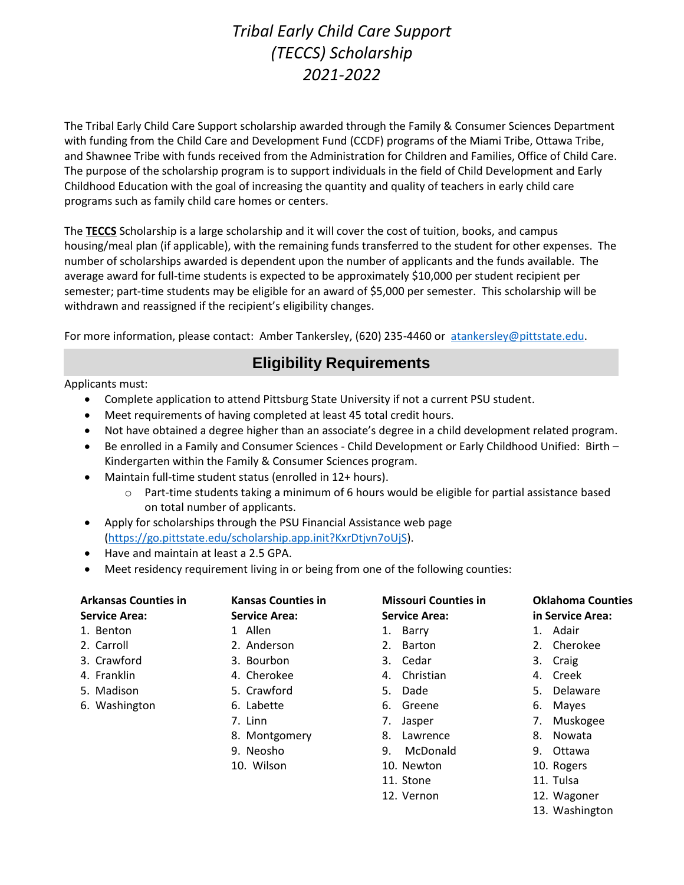# *Tribal Early Child Care Support (TECCS) Scholarship 2021-2022*

The Tribal Early Child Care Support scholarship awarded through the Family & Consumer Sciences Department with funding from the Child Care and Development Fund (CCDF) programs of the Miami Tribe, Ottawa Tribe, and Shawnee Tribe with funds received from the Administration for Children and Families, Office of Child Care. The purpose of the scholarship program is to support individuals in the field of Child Development and Early Childhood Education with the goal of increasing the quantity and quality of teachers in early child care programs such as family child care homes or centers.

The **TECCS** Scholarship is a large scholarship and it will cover the cost of tuition, books, and campus housing/meal plan (if applicable), with the remaining funds transferred to the student for other expenses. The number of scholarships awarded is dependent upon the number of applicants and the funds available. The average award for full-time students is expected to be approximately \$10,000 per student recipient per semester; part-time students may be eligible for an award of \$5,000 per semester. This scholarship will be withdrawn and reassigned if the recipient's eligibility changes.

For more information, please contact: Amber Tankersley, (620) 235-4460 or [atankersley@pittstate.edu.](mailto:atankersley@pittstate.edu)

## **Eligibility Requirements**

Applicants must:

- Complete application to attend Pittsburg State University if not a current PSU student.
- Meet requirements of having completed at least 45 total credit hours.
- Not have obtained a degree higher than an associate's degree in a child development related program.
- Be enrolled in a Family and Consumer Sciences Child Development or Early Childhood Unified: Birth Kindergarten within the Family & Consumer Sciences program.
- Maintain full-time student status (enrolled in 12+ hours).
	- $\circ$  Part-time students taking a minimum of 6 hours would be eligible for partial assistance based on total number of applicants.
- Apply for scholarships through the PSU Financial Assistance web page [\(https://go.pittstate.edu/scholarship.app.init?KxrDtjvn7oUjS\)](https://go.pittstate.edu/scholarship.app.init?KxrDtjvn7oUjS).
- Have and maintain at least a 2.5 GPA.
- Meet residency requirement living in or being from one of the following counties:

| <b>Arkansas Counties in</b> | <b>Kansas Counties in</b> | <b>Missouri Counties in</b> | <b>Oklahoma Counties</b> |
|-----------------------------|---------------------------|-----------------------------|--------------------------|
| <b>Service Area:</b>        | <b>Service Area:</b>      | <b>Service Area:</b>        | in Service Area:         |
| 1. Benton                   | 1 Allen                   | 1. Barry                    | 1. Adair                 |
| 2. Carroll                  | 2. Anderson               | 2. Barton                   | 2. Cherokee              |
| 3. Crawford                 | 3. Bourbon                | 3. Cedar                    | 3. Craig                 |
| 4. Franklin                 | 4. Cherokee               | 4. Christian                | 4. Creek                 |
| 5. Madison                  | 5. Crawford               | 5. Dade                     | Delaware<br>5.           |
| 6. Washington               | 6. Labette                | 6. Greene                   | 6. Mayes                 |
|                             | 7. Linn                   | 7. Jasper                   | Muskogee<br>7.           |
|                             | 8. Montgomery             | 8.<br>Lawrence              | 8.<br>Nowata             |
|                             | 9. Neosho                 | McDonald<br>9.              | 9.<br>Ottawa             |
|                             | 10. Wilson                | 10. Newton                  | 10. Rogers               |
|                             |                           | 11. Stone                   | 11. Tulsa                |
|                             |                           | 12. Vernon                  | 12. Wagoner              |

13. Washington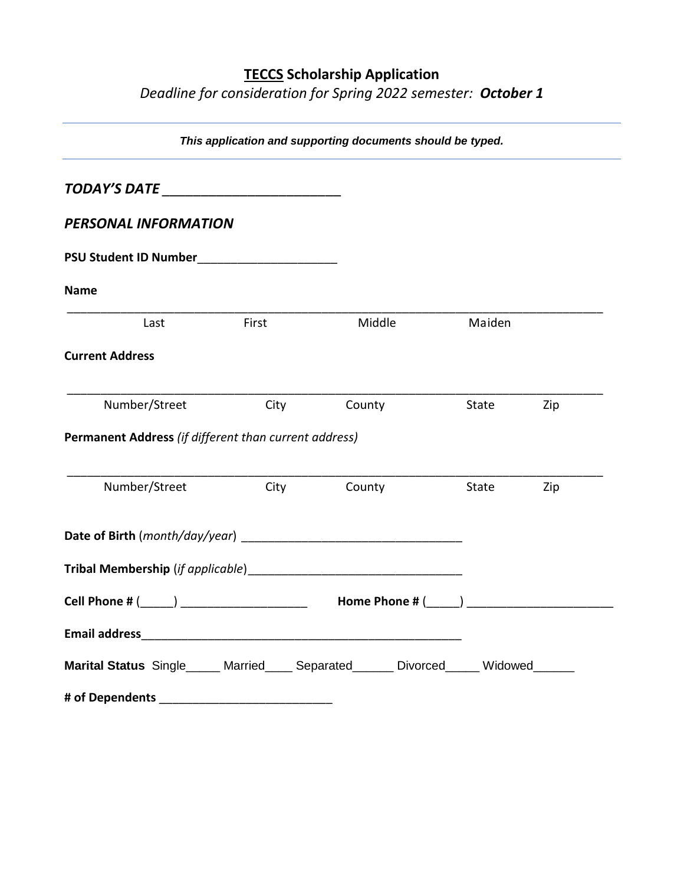### **TECCS Scholarship Application**

*Deadline for consideration for Spring 2022 semester: October 1*

| This application and supporting documents should be typed.                                                     |       |        |        |     |
|----------------------------------------------------------------------------------------------------------------|-------|--------|--------|-----|
| TODAY'S DATE _________________________                                                                         |       |        |        |     |
| <b>PERSONAL INFORMATION</b>                                                                                    |       |        |        |     |
| PSU Student ID Number<br><u>Letter and the students</u>                                                        |       |        |        |     |
| <b>Name</b>                                                                                                    |       |        |        |     |
| Last                                                                                                           | First | Middle | Maiden |     |
| <b>Current Address</b>                                                                                         |       |        |        |     |
| Number/Street                                                                                                  | City  | County | State  | Zip |
| Permanent Address (if different than current address)                                                          |       |        |        |     |
| Number/Street                                                                                                  | City  | County | State  | Zip |
| Date of Birth ( <i>month/day/year</i> )                                                                        |       |        |        |     |
|                                                                                                                |       |        |        |     |
|                                                                                                                |       |        |        |     |
|                                                                                                                |       |        |        |     |
| Marital Status Single_____ Married____ Separated_____ Divorced_____ Widowed_____                               |       |        |        |     |
| # of Dependents and the state of the state of the state of the state of the state of the state of the state of |       |        |        |     |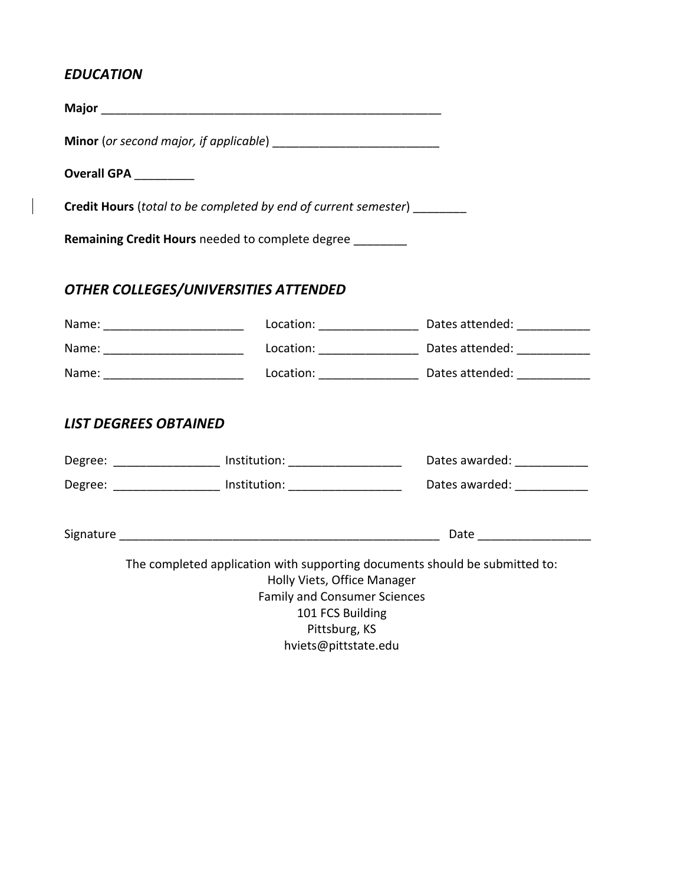### *EDUCATION*

 $\overline{\phantom{a}}$ 

| Overall GPA _________             |                                                                                                                                                                       |                                                                                                 |
|-----------------------------------|-----------------------------------------------------------------------------------------------------------------------------------------------------------------------|-------------------------------------------------------------------------------------------------|
|                                   | <b>Credit Hours</b> (total to be completed by end of current semester) ________                                                                                       |                                                                                                 |
|                                   | <b>Remaining Credit Hours</b> needed to complete degree                                                                                                               |                                                                                                 |
|                                   | OTHER COLLEGES/UNIVERSITIES ATTENDED                                                                                                                                  |                                                                                                 |
| Name: _________________________   |                                                                                                                                                                       |                                                                                                 |
| Name: ___________________________ |                                                                                                                                                                       |                                                                                                 |
| Name: ___________________________ |                                                                                                                                                                       |                                                                                                 |
| <b>LIST DEGREES OBTAINED</b>      |                                                                                                                                                                       |                                                                                                 |
|                                   | Degree: _________________ Institution: ____________________                                                                                                           | Dates awarded: _____________                                                                    |
|                                   |                                                                                                                                                                       | Degree: ___________________ Institution: ________________________ Dates awarded: ______________ |
|                                   |                                                                                                                                                                       |                                                                                                 |
|                                   | The completed application with supporting documents should be submitted to:<br>Holly Viets, Office Manager<br><b>Family and Consumer Sciences</b><br>101 FCS Building |                                                                                                 |

Pittsburg, KS

hviets@pittstate.edu